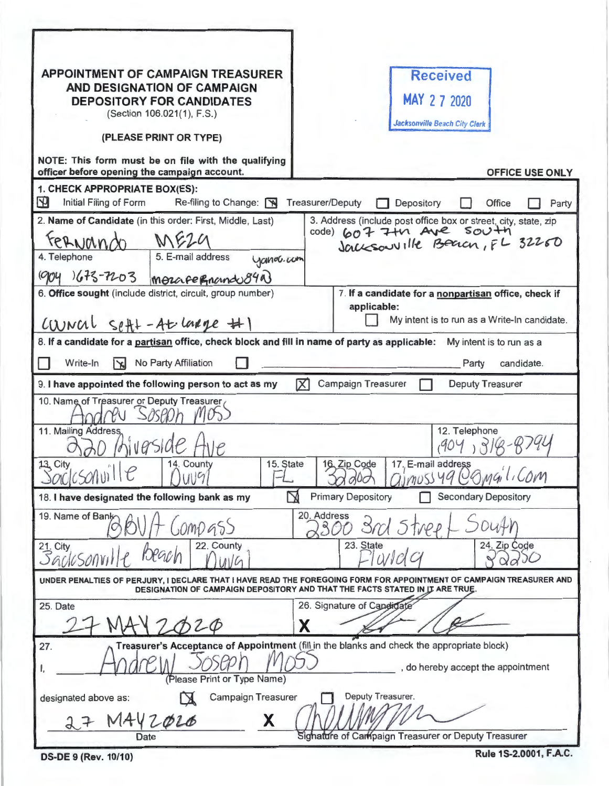| <b>APPOINTMENT OF CAMPAIGN TREASURER</b><br><b>AND DESIGNATION OF CAMPAIGN</b><br><b>DEPOSITORY FOR CANDIDATES</b><br>(Section 106.021(1), F.S.)<br>(PLEASE PRINT OR TYPE)                          |           |                         |                                              |                    | <b>Received</b><br>MAY 2 7 2020<br><b>Jacksonville Beach City Clerk</b> |                                                                                                                              |
|-----------------------------------------------------------------------------------------------------------------------------------------------------------------------------------------------------|-----------|-------------------------|----------------------------------------------|--------------------|-------------------------------------------------------------------------|------------------------------------------------------------------------------------------------------------------------------|
| NOTE: This form must be on file with the qualifying<br>officer before opening the campaign account.                                                                                                 |           |                         |                                              |                    |                                                                         | OFFICE USE ONLY                                                                                                              |
| 1. CHECK APPROPRIATE BOX(ES):<br>$\mathbf{P}$<br>Initial Filing of Form<br>Re-filing to Change:                                                                                                     |           | <b>Treasurer/Deputy</b> |                                              | Depository         |                                                                         | Office<br>Party                                                                                                              |
| 2. Name of Candidate (in this order: First, Middle, Last)<br>M624<br>reANando<br>5. E-mail address<br>4. Telephone<br>$1673 - 7203$<br>MOLAFERMando840                                              | yanov.com |                         |                                              |                    |                                                                         | 3. Address (include post office box or street, city, state, zip<br>code) 607 7 to Ave South<br>Jacksouv Ille Beach, FL 32260 |
| 6. Office sought (include district, circuit, group number)                                                                                                                                          |           |                         | applicable:                                  |                    |                                                                         | 7. If a candidate for a nonpartisan office, check if                                                                         |
| $CUNC1$ $S$ efft - At lange #1                                                                                                                                                                      |           |                         | My intent is to run as a Write-In candidate. |                    |                                                                         |                                                                                                                              |
| 8. If a candidate for a partisan office, check block and fill in name of party as applicable:<br>My intent is to run as a                                                                           |           |                         |                                              |                    |                                                                         |                                                                                                                              |
| Write-In<br>$\mathbf{x}$<br>No Party Affiliation                                                                                                                                                    |           |                         |                                              |                    |                                                                         | candidate.<br>Party                                                                                                          |
| 区<br>Campaign Treasurer<br><b>Deputy Treasurer</b><br>9. I have appointed the following person to act as my                                                                                         |           |                         |                                              |                    |                                                                         |                                                                                                                              |
| 10. Name of Treasurer or Deputy Treasurer<br>11. Mailing Address,<br>14. County<br>13. City<br>科士<br>Soc(cSohv)<br>19                                                                               | 15. State |                         | 16. Zip Code                                 | 17. E-mail address | 12. Telephone                                                           | imussyq Comail, Com                                                                                                          |
| 18. I have designated the following bank as my                                                                                                                                                      |           |                         | <b>Primary Depository</b>                    |                    |                                                                         | <b>Secondary Depository</b>                                                                                                  |
| 20. Address<br>19. Name of Bank<br>000955                                                                                                                                                           |           |                         |                                              |                    |                                                                         |                                                                                                                              |
| 23. State<br>22. County<br>24. Zip Code<br>$21$ , City<br>Q/dQ                                                                                                                                      |           |                         |                                              |                    |                                                                         |                                                                                                                              |
| UNDER PENALTIES OF PERJURY. I DECLARE THAT I HAVE READ THE FOREGOING FORM FOR APPOINTMENT OF CAMPAIGN TREASURER AND<br>DESIGNATION OF CAMPAIGN DEPOSITORY AND THAT THE FACTS STATED IN IT ARE TRUE. |           |                         |                                              |                    |                                                                         |                                                                                                                              |
| 25. Date                                                                                                                                                                                            |           |                         | 26. Signature of Candida                     |                    |                                                                         |                                                                                                                              |
| 20                                                                                                                                                                                                  |           |                         |                                              |                    |                                                                         |                                                                                                                              |
| Treasurer's Acceptance of Appointment (fill in the blanks and check the appropriate block)<br>27.<br>, do hereby accept the appointment<br>(Please Print or Type Name)                              |           |                         |                                              |                    |                                                                         |                                                                                                                              |
| Deputy Treasurer.<br>Campaign Treasurer<br>designated above as:<br>X<br>1442020                                                                                                                     |           |                         |                                              |                    |                                                                         |                                                                                                                              |
| Signature of Campaign Treasurer or Deputy Treasurer                                                                                                                                                 |           |                         |                                              |                    |                                                                         |                                                                                                                              |

| DS-DE 9 (Rev. 10/10) |  |  |
|----------------------|--|--|
|----------------------|--|--|

Rule 1S-2.0001, F.A.C.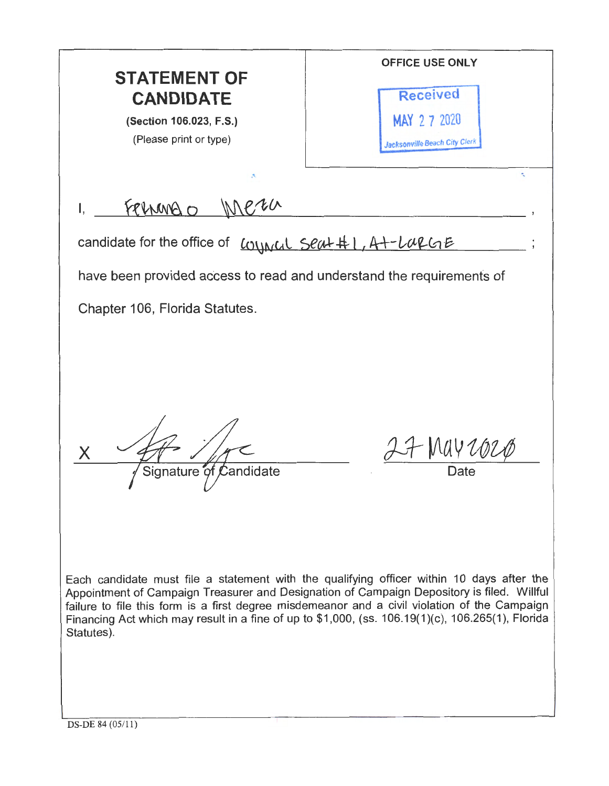OFFICE USE ONLY **STATEMENT OF**  Received **CANDIDATE**  MAY 2 7 2020 (Section 106.023, F.S.) (Please print or type) Jacksonville Beach City Clerk ·- FRINARO I, candidate for the office of  $l_{\text{OMMCL}}$  seat #1, A+-LapGE have been provided access to read and understand the requirements of Chapter 106, Florida Statutes. MAY 202 x Signature of Candidate Each candidate must file a statement with the qualifying officer within 10 days after the Appointment of Campaign Treasurer and Designation of Campaign Depository is filed. Willful failure to file this form is a first degree misdemeanor and a civil violation of the Campaign Financing Act which may result in a fine of up to \$1,000, (ss. 106.19(1)(c), 106.265(1), Florida Statutes).